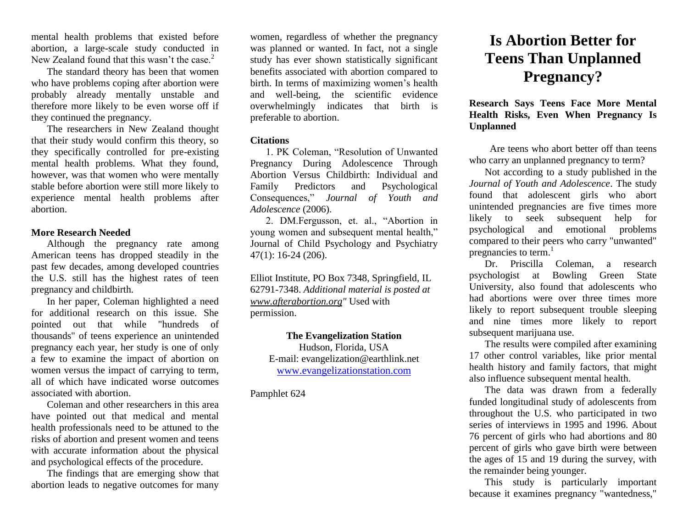mental health problems that existed before abortion, a large-scale study conducted in New Zealand found that this wasn't the case. $2$ 

The standard theory has been that women who have problems coping after abortion were probably already mentally unstable and therefore more likely to be even worse off if they continued the pregnancy.

The researchers in New Zealand thought that their study would confirm this theory, so they specifically controlled for pre-existing mental health problems. What they found, however, was that women who were mentally stable before abortion were still more likely to experience mental health problems after abortion.

## **More Research Needed**

Although the pregnancy rate among American teens has dropped steadily in the past few decades, among developed countries the U.S. still has the highest rates of teen pregnancy and childbirth.

In her paper, Coleman highlighted a need for additional research on this issue. She pointed out that while "hundreds of thousands" of teens experience an unintended pregnancy each year, her study is one of only a few to examine the impact of abortion on women versus the impact of carrying to term, all of which have indicated worse outcomes associated with abortion.

Coleman and other researchers in this area have pointed out that medical and mental health professionals need to be attuned to the risks of abortion and present women and teens with accurate information about the physical and psychological effects of the procedure.

The findings that are emerging show that abortion leads to negative outcomes for many

women, regardless of whether the pregnancy was planned or wanted. In fact, not a single study has ever shown statistically significant benefits associated with abortion compared to birth. In terms of maximizing women's health and well-being, the scientific evidence overwhelmingly indicates that birth is preferable to abortion.

#### **Citations**

1. PK Coleman, "Resolution of Unwanted Pregnancy During Adolescence Through Abortion Versus Childbirth: Individual and Family Predictors and Psychological Consequences," *Journal of Youth and Adolescence* (2006).

2. DM.Fergusson, et. al., "Abortion in young women and subsequent mental health," Journal of Child Psychology and Psychiatry 47(1): 16-24 (206).

Elliot Institute, PO Box 7348, Springfield, IL 62791-7348. *Additional material is posted at [www.afterabortion.org"](http://www.afterabortion.org/)* Used with permission.

> **The Evangelization Station** Hudson, Florida, USA E-mail: evangelization@earthlink.net [www.evangelizationstation.com](http://www.pjpiisoe.org/)

Pamphlet 624

# **Is Abortion Better for Teens Than Unplanned Pregnancy?**

**Research Says Teens Face More Mental Health Risks, Even When Pregnancy Is Unplanned**

Are teens who abort better off than teens who carry an unplanned pregnancy to term?

Not according to a study published in the *Journal of Youth and Adolescence*. The study found that adolescent girls who abort unintended pregnancies are five times more likely to seek subsequent help for psychological and emotional problems compared to their peers who carry "unwanted" pregnancies to term.<sup>1</sup>

Dr. Priscilla Coleman, a research psychologist at Bowling Green State University, also found that adolescents who had abortions were over three times more likely to report subsequent trouble sleeping and nine times more likely to report subsequent marijuana use.

The results were compiled after examining 17 other control variables, like prior mental health history and family factors, that might also influence subsequent mental health.

The data was drawn from a federally funded longitudinal study of adolescents from throughout the U.S. who participated in two series of interviews in 1995 and 1996. About 76 percent of girls who had abortions and 80 percent of girls who gave birth were between the ages of 15 and 19 during the survey, with the remainder being younger.

This study is particularly important because it examines pregnancy "wantedness,"